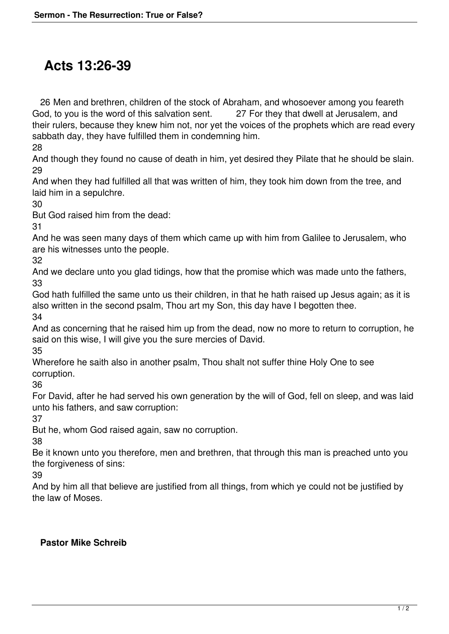## **Acts 13:26-39**

 26 Men and brethren, children of the stock of Abraham, and whosoever among you feareth God, to you is the word of this salvation sent. 27 For they that dwell at Jerusalem, and their rulers, because they knew him not, nor yet the voices of the prophets which are read every sabbath day, they have fulfilled them in condemning him.

28

And though they found no cause of death in him, yet desired they Pilate that he should be slain. 29

And when they had fulfilled all that was written of him, they took him down from the tree, and laid him in a sepulchre.

30

But God raised him from the dead:

31

And he was seen many days of them which came up with him from Galilee to Jerusalem, who are his witnesses unto the people.

32

And we declare unto you glad tidings, how that the promise which was made unto the fathers, 33

God hath fulfilled the same unto us their children, in that he hath raised up Jesus again; as it is also written in the second psalm, Thou art my Son, this day have I begotten thee.

34

And as concerning that he raised him up from the dead, now no more to return to corruption, he said on this wise, I will give you the sure mercies of David.

35

Wherefore he saith also in another psalm, Thou shalt not suffer thine Holy One to see corruption.

36

For David, after he had served his own generation by the will of God, fell on sleep, and was laid unto his fathers, and saw corruption:

37

But he, whom God raised again, saw no corruption.

38

Be it known unto you therefore, men and brethren, that through this man is preached unto you the forgiveness of sins:

39

And by him all that believe are justified from all things, from which ye could not be justified by the law of Moses.

## **Pastor Mike Schreib**